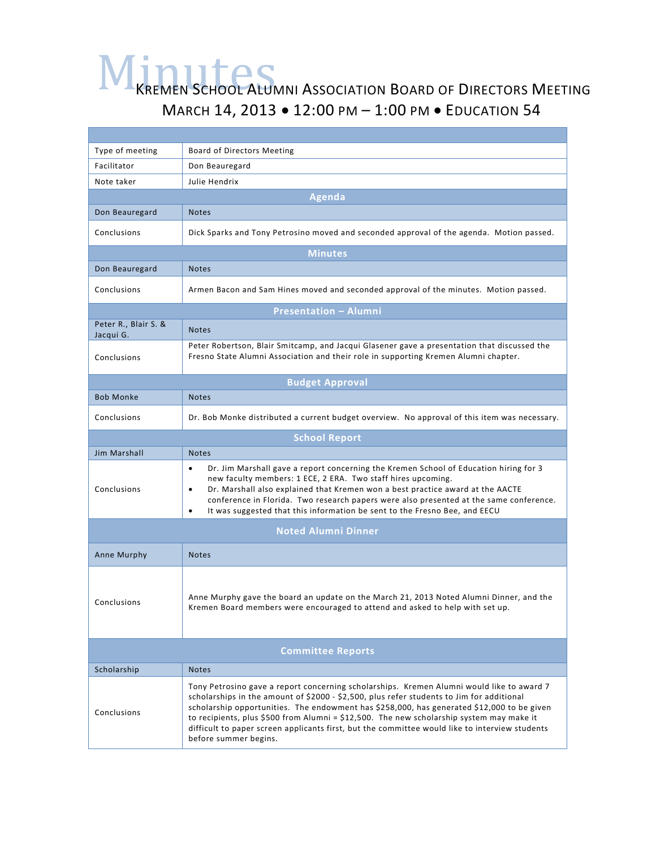## MINUTES KREMEN SCHOOL ALUMNI ASSOCIATION BOARD OF DIRECTORS MEETING MARCH 14, 2013 • 12:00 PM – 1:00 PM • EDUCATION 54

| Type of meeting                   | Board of Directors Meeting                                                                                                                                                                                                                                                                                                                                                                                                                                                                                  |  |
|-----------------------------------|-------------------------------------------------------------------------------------------------------------------------------------------------------------------------------------------------------------------------------------------------------------------------------------------------------------------------------------------------------------------------------------------------------------------------------------------------------------------------------------------------------------|--|
| Facilitator                       | Don Beauregard                                                                                                                                                                                                                                                                                                                                                                                                                                                                                              |  |
| Note taker                        | Julie Hendrix                                                                                                                                                                                                                                                                                                                                                                                                                                                                                               |  |
| <b>Agenda</b>                     |                                                                                                                                                                                                                                                                                                                                                                                                                                                                                                             |  |
| Don Beauregard                    | <b>Notes</b>                                                                                                                                                                                                                                                                                                                                                                                                                                                                                                |  |
| Conclusions                       | Dick Sparks and Tony Petrosino moved and seconded approval of the agenda. Motion passed.                                                                                                                                                                                                                                                                                                                                                                                                                    |  |
| <b>Minutes</b>                    |                                                                                                                                                                                                                                                                                                                                                                                                                                                                                                             |  |
| Don Beauregard                    | <b>Notes</b>                                                                                                                                                                                                                                                                                                                                                                                                                                                                                                |  |
| Conclusions                       | Armen Bacon and Sam Hines moved and seconded approval of the minutes. Motion passed.                                                                                                                                                                                                                                                                                                                                                                                                                        |  |
| <b>Presentation - Alumni</b>      |                                                                                                                                                                                                                                                                                                                                                                                                                                                                                                             |  |
| Peter R., Blair S. &<br>Jacqui G. | <b>Notes</b>                                                                                                                                                                                                                                                                                                                                                                                                                                                                                                |  |
| Conclusions                       | Peter Robertson, Blair Smitcamp, and Jacqui Glasener gave a presentation that discussed the<br>Fresno State Alumni Association and their role in supporting Kremen Alumni chapter.                                                                                                                                                                                                                                                                                                                          |  |
| <b>Budget Approval</b>            |                                                                                                                                                                                                                                                                                                                                                                                                                                                                                                             |  |
| <b>Bob Monke</b>                  | <b>Notes</b>                                                                                                                                                                                                                                                                                                                                                                                                                                                                                                |  |
| Conclusions                       | Dr. Bob Monke distributed a current budget overview. No approval of this item was necessary.                                                                                                                                                                                                                                                                                                                                                                                                                |  |
| <b>School Report</b>              |                                                                                                                                                                                                                                                                                                                                                                                                                                                                                                             |  |
| <b>Jim Marshall</b>               | <b>Notes</b>                                                                                                                                                                                                                                                                                                                                                                                                                                                                                                |  |
| Conclusions                       | Dr. Jim Marshall gave a report concerning the Kremen School of Education hiring for 3<br>$\bullet$<br>new faculty members: 1 ECE, 2 ERA. Two staff hires upcoming.<br>Dr. Marshall also explained that Kremen won a best practice award at the AACTE<br>$\bullet$<br>conference in Florida. Two research papers were also presented at the same conference.<br>It was suggested that this information be sent to the Fresno Bee, and EECU<br>$\bullet$                                                      |  |
| <b>Noted Alumni Dinner</b>        |                                                                                                                                                                                                                                                                                                                                                                                                                                                                                                             |  |
| Anne Murphy                       | <b>Notes</b>                                                                                                                                                                                                                                                                                                                                                                                                                                                                                                |  |
| Conclusions                       | Anne Murphy gave the board an update on the March 21, 2013 Noted Alumni Dinner, and the<br>Kremen Board members were encouraged to attend and asked to help with set up.                                                                                                                                                                                                                                                                                                                                    |  |
| <b>Committee Reports</b>          |                                                                                                                                                                                                                                                                                                                                                                                                                                                                                                             |  |
| Scholarship                       | <b>Notes</b>                                                                                                                                                                                                                                                                                                                                                                                                                                                                                                |  |
| Conclusions                       | Tony Petrosino gave a report concerning scholarships. Kremen Alumni would like to award 7<br>scholarships in the amount of \$2000 - \$2,500, plus refer students to Jim for additional<br>scholarship opportunities. The endowment has \$258,000, has generated \$12,000 to be given<br>to recipients, plus \$500 from Alumni = \$12,500. The new scholarship system may make it<br>difficult to paper screen applicants first, but the committee would like to interview students<br>before summer begins. |  |
|                                   |                                                                                                                                                                                                                                                                                                                                                                                                                                                                                                             |  |